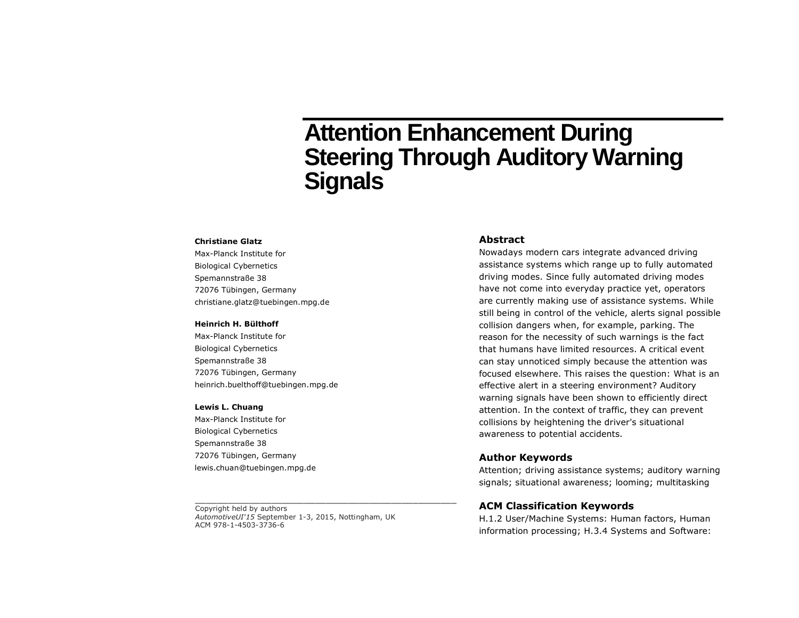# **Attention Enhancement During Steering Through Auditory Warning Signals**

#### **Christiane Glatz**

Max-Planck Institute for Biological Cybernetics Spemannstraße 38 72076 Tübingen, Germany christiane.glatz@tuebingen.mpg.de

#### **Heinrich H. Bülthoff**

Max-Planck Institute for Biological Cybernetics Spemannstraße 38 72076 Tübingen, Germany heinrich.buelthoff@tuebingen.mpg.de

#### **Lewis L. Chuang**

Max-Planck Institute for Biological Cybernetics Spemannstraße 38 72076 Tübingen, Germany lewis.chuan@tuebingen.mpg.de

Copyright held by authors *AutomotiveUI'15* September 1-3, 2015, Nottingham, UK ACM 978-1-4503-3736-6

\_\_\_\_\_\_\_\_\_\_\_\_\_\_\_\_\_\_\_\_\_\_\_\_\_\_\_\_\_\_\_\_\_\_\_\_\_\_\_\_\_\_\_\_\_\_\_\_

# **Abstract**

Nowadays modern cars integrate advanced driving assistance systems which range up to fully automated driving modes. Since fully automated driving modes have not come into everyday practice yet, operators are currently making use of assistance systems. While still being in control of the vehicle, alerts signal possible collision dangers when, for example, parking. The reason for the necessity of such warnings is the fact that humans have limited resources. A critical event can stay unnoticed simply because the attention was focused elsewhere. This raises the question: What is an effective alert in a steering environment? Auditory warning signals have been shown to efficiently direct attention. In the context of traffic, they can prevent collisions by heightening the driver's situational awareness to potential accidents.

### **Author Keywords**

Attention; driving assistance systems; auditory warning signals; situational awareness; looming; multitasking

## **ACM Classification Keywords**

H.1.2 User/Machine Systems: Human factors, Human information processing; H.3.4 Systems and Software: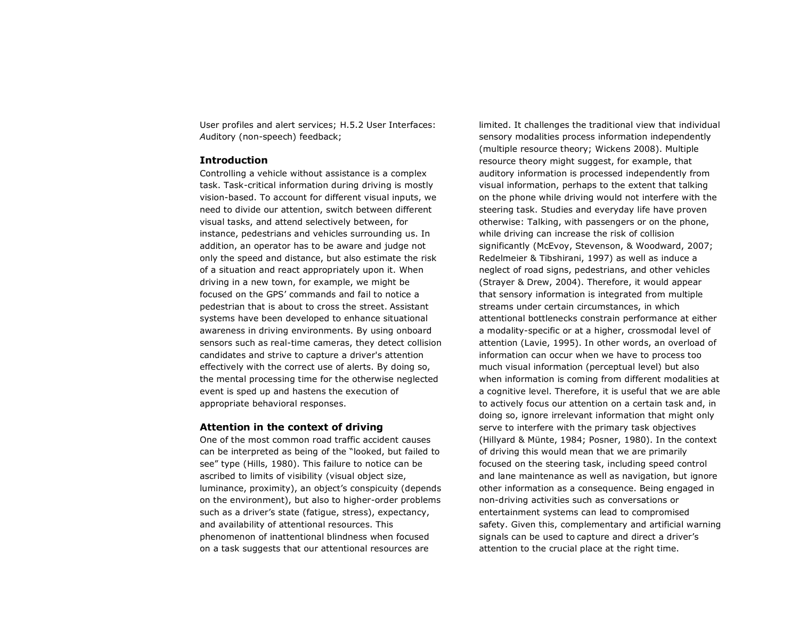User profiles and alert services; H.5.2 User Interfaces: *A*uditory (non-speech) feedback;

## **Introduction**

Controlling a vehicle without assistance is a complex task. Task-critical information during driving is mostly vision-based. To account for different visual inputs, we need to divide our attention, switch between different visual tasks, and attend selectively between, for instance, pedestrians and vehicles surrounding us. In addition, an operator has to be aware and judge not only the speed and distance, but also estimate the risk of a situation and react appropriately upon it. When driving in a new town, for example, we might be focused on the GPS' commands and fail to notice a pedestrian that is about to cross the street. Assistant systems have been developed to enhance situational awareness in driving environments. By using onboard sensors such as real-time cameras, they detect collision candidates and strive to capture a driver's attention effectively with the correct use of alerts. By doing so, the mental processing time for the otherwise neglected event is sped up and hastens the execution of appropriate behavioral responses.

# **Attention in the context of driving**

One of the most common road traffic accident causes can be interpreted as being of the "looked, but failed to see" type (Hills, 1980). This failure to notice can be ascribed to limits of visibility (visual object size, luminance, proximity), an object's conspicuity (depends on the environment), but also to higher-order problems such as a driver's state (fatigue, stress), expectancy, and availability of attentional resources. This phenomenon of inattentional blindness when focused on a task suggests that our attentional resources are

limited. It challenges the traditional view that individual sensory modalities process information independently (multiple resource theory; Wickens 2008). Multiple resource theory might suggest, for example, that auditory information is processed independently from visual information, perhaps to the extent that talking on the phone while driving would not interfere with the steering task. Studies and everyday life have proven otherwise: Talking, with passengers or on the phone, while driving can increase the risk of collision significantly (McEvoy, Stevenson, & Woodward, 2007; Redelmeier & Tibshirani, 1997) as well as induce a neglect of road signs, pedestrians, and other vehicles (Strayer & Drew, 2004). Therefore, it would appear that sensory information is integrated from multiple streams under certain circumstances, in which attentional bottlenecks constrain performance at either a modality-specific or at a higher, crossmodal level of attention (Lavie, 1995). In other words, an overload of information can occur when we have to process too much visual information (perceptual level) but also when information is coming from different modalities at a cognitive level. Therefore, it is useful that we are able to actively focus our attention on a certain task and, in doing so, ignore irrelevant information that might only serve to interfere with the primary task objectives (Hillyard & Münte, 1984; Posner, 1980). In the context of driving this would mean that we are primarily focused on the steering task, including speed control and lane maintenance as well as navigation, but ignore other information as a consequence. Being engaged in non-driving activities such as conversations or entertainment systems can lead to compromised safety. Given this, complementary and artificial warning signals can be used to capture and direct a driver's attention to the crucial place at the right time.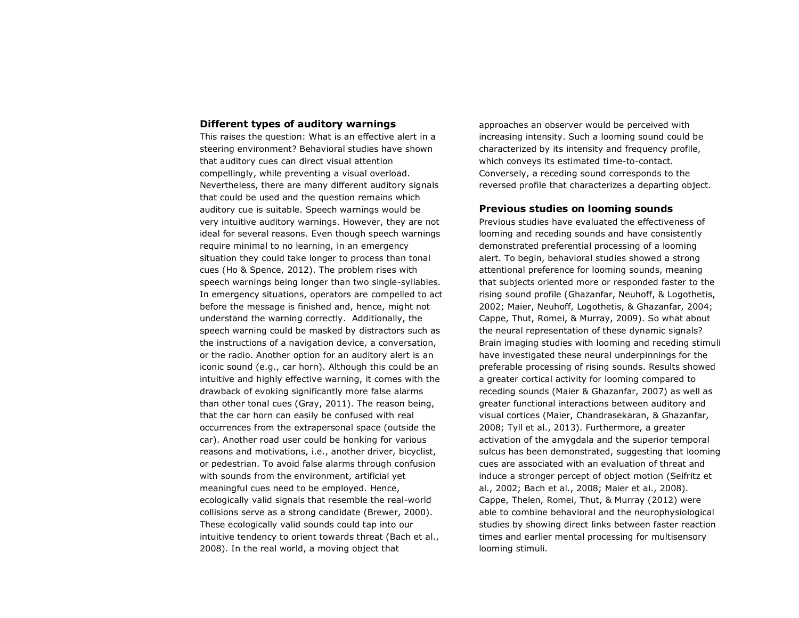# **Different types of auditory warnings**

This raises the question: What is an effective alert in a steering environment? Behavioral studies have shown that auditory cues can direct visual attention compellingly, while preventing a visual overload. Nevertheless, there are many different auditory signals that could be used and the question remains which auditory cue is suitable. Speech warnings would be very intuitive auditory warnings. However, they are not ideal for several reasons. Even though speech warnings require minimal to no learning, in an emergency situation they could take longer to process than tonal cues (Ho & Spence, 2012). The problem rises with speech warnings being longer than two single-syllables. In emergency situations, operators are compelled to act before the message is finished and, hence, might not understand the warning correctly. Additionally, the speech warning could be masked by distractors such as the instructions of a navigation device, a conversation, or the radio. Another option for an auditory alert is an iconic sound (e.g., car horn). Although this could be an intuitive and highly effective warning, it comes with the drawback of evoking significantly more false alarms than other tonal cues (Gray, 2011). The reason being, that the car horn can easily be confused with real occurrences from the extrapersonal space (outside the car). Another road user could be honking for various reasons and motivations, i.e., another driver, bicyclist, or pedestrian. To avoid false alarms through confusion with sounds from the environment, artificial yet meaningful cues need to be employed. Hence, ecologically valid signals that resemble the real-world collisions serve as a strong candidate (Brewer, 2000). These ecologically valid sounds could tap into our intuitive tendency to orient towards threat (Bach et al., 2008). In the real world, a moving object that

approaches an observer would be perceived with increasing intensity. Such a looming sound could be characterized by its intensity and frequency profile, which conveys its estimated time-to-contact. Conversely, a receding sound corresponds to the reversed profile that characterizes a departing object.

#### **Previous studies on looming sounds**

Previous studies have evaluated the effectiveness of looming and receding sounds and have consistently demonstrated preferential processing of a looming alert. To begin, behavioral studies showed a strong attentional preference for looming sounds, meaning that subjects oriented more or responded faster to the rising sound profile (Ghazanfar, Neuhoff, & Logothetis, 2002; Maier, Neuhoff, Logothetis, & Ghazanfar, 2004; Cappe, Thut, Romei, & Murray, 2009). So what about the neural representation of these dynamic signals? Brain imaging studies with looming and receding stimuli have investigated these neural underpinnings for the preferable processing of rising sounds. Results showed a greater cortical activity for looming compared to receding sounds (Maier & Ghazanfar, 2007) as well as greater functional interactions between auditory and visual cortices (Maier, Chandrasekaran, & Ghazanfar, 2008; Tyll et al., 2013). Furthermore, a greater activation of the amygdala and the superior temporal sulcus has been demonstrated, suggesting that looming cues are associated with an evaluation of threat and induce a stronger percept of object motion (Seifritz et al., 2002; Bach et al., 2008; Maier et al., 2008). Cappe, Thelen, Romei, Thut, & Murray (2012) were able to combine behavioral and the neurophysiological studies by showing direct links between faster reaction times and earlier mental processing for multisensory looming stimuli.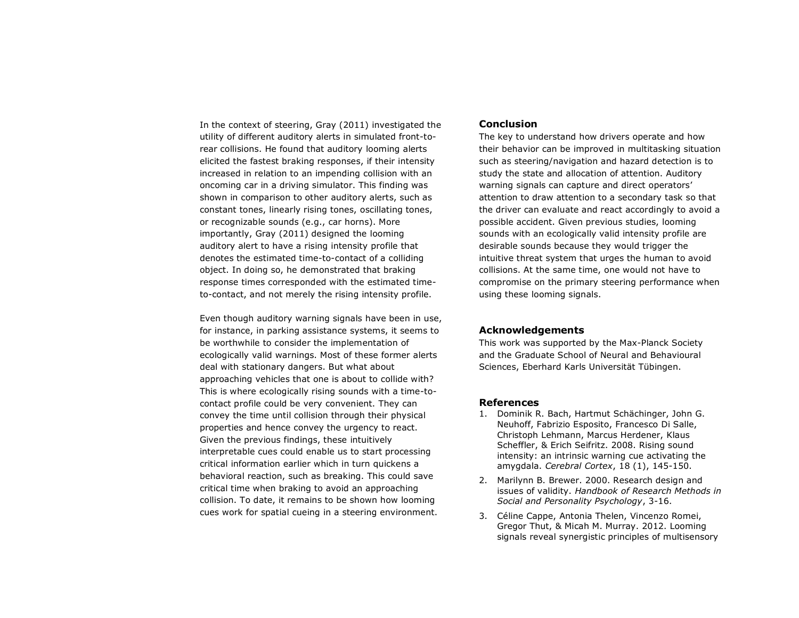In the context of steering, Gray (2011) investigated the utility of different auditory alerts in simulated front-torear collisions. He found that auditory looming alerts elicited the fastest braking responses, if their intensity increased in relation to an impending collision with an oncoming car in a driving simulator. This finding was shown in comparison to other auditory alerts, such as constant tones, linearly rising tones, oscillating tones, or recognizable sounds (e.g., car horns). More importantly, Gray (2011) designed the looming auditory alert to have a rising intensity profile that denotes the estimated time-to-contact of a colliding object. In doing so, he demonstrated that braking response times corresponded with the estimated timeto-contact, and not merely the rising intensity profile.

Even though auditory warning signals have been in use, for instance, in parking assistance systems, it seems to be worthwhile to consider the implementation of ecologically valid warnings. Most of these former alerts deal with stationary dangers. But what about approaching vehicles that one is about to collide with? This is where ecologically rising sounds with a time-tocontact profile could be very convenient. They can convey the time until collision through their physical properties and hence convey the urgency to react. Given the previous findings, these intuitively interpretable cues could enable us to start processing critical information earlier which in turn quickens a behavioral reaction, such as breaking. This could save critical time when braking to avoid an approaching collision. To date, it remains to be shown how looming cues work for spatial cueing in a steering environment.

## **Conclusion**

The key to understand how drivers operate and how their behavior can be improved in multitasking situation such as steering/navigation and hazard detection is to study the state and allocation of attention. Auditory warning signals can capture and direct operators' attention to draw attention to a secondary task so that the driver can evaluate and react accordingly to avoid a possible accident. Given previous studies, looming sounds with an ecologically valid intensity profile are desirable sounds because they would trigger the intuitive threat system that urges the human to avoid collisions. At the same time, one would not have to compromise on the primary steering performance when using these looming signals.

## **Acknowledgements**

This work was supported by the Max-Planck Society and the Graduate School of Neural and Behavioural Sciences, Eberhard Karls Universität Tübingen.

# **References**

- 1. Dominik R. Bach, Hartmut Schächinger, John G. Neuhoff, Fabrizio Esposito, Francesco Di Salle, Christoph Lehmann, Marcus Herdener, Klaus Scheffler, & Erich Seifritz. 2008. Rising sound intensity: an intrinsic warning cue activating the amygdala. *Cerebral Cortex*, 18 (1), 145-150.
- 2. Marilynn B. Brewer. 2000. Research design and issues of validity. *Handbook of Research Methods in Social and Personality Psychology*, 3-16.
- 3. Céline Cappe, Antonia Thelen, Vincenzo Romei, Gregor Thut, & Micah M. Murray. 2012. Looming signals reveal synergistic principles of multisensory